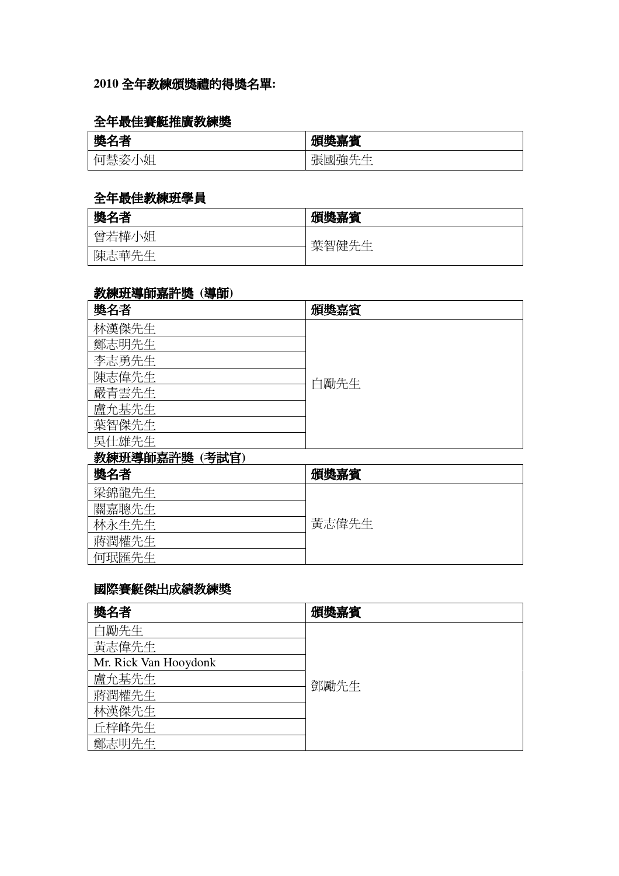## **2010** 全年教練頒獎禮的得獎名單**:**

## 全年最佳賽艇推廣教練獎

| <b>READ</b><br>み出<br>∼<br>71N<br>ľΈ<br>- | .<br>獎嘉賓<br>716                                            |
|------------------------------------------|------------------------------------------------------------|
| 俎<br>'≢∓<br>İП<br>急安<br>۰.               | $\mathbf{L}$<br>ᆞ<br>-<br>. н∟.<br>張國羅先生<br>いっせい<br>مطالعا |

#### 全年最佳教練班學員

| 獎名者   | 頒獎嘉賓  |
|-------|-------|
| 曾若樺小姐 | 葉智健先生 |
| 陳志華先生 |       |

## 教練班導師嘉許獎 **(**導師**)**

| 獎名者            | 頒獎嘉賓 |
|----------------|------|
| 林漢傑先生          |      |
| 鄭志明先生          |      |
| 李志勇先生          |      |
| 陳志偉先生          | 白勵先生 |
| 嚴青雲先生          |      |
| 盧允基先生          |      |
| 葉智傑先生          |      |
| 吳仕雄先生          |      |
| 教練班導師嘉許獎 (考試官) |      |
|                |      |

| 獎名者   | 頒獎嘉賓  |
|-------|-------|
| 梁錦龍先生 |       |
| 關嘉聰先生 |       |
| 林永生先生 | 黃志偉先生 |
| 蔣潤權先生 |       |
| 何珉匯先生 |       |

# 國際賽艇傑出成績教練獎

| 獎名者                   | 頒獎嘉賓 |
|-----------------------|------|
| 白勵先生                  |      |
| 黃志偉先生                 |      |
| Mr. Rick Van Hooydonk |      |
| 盧允基先生                 | 鄧勵先生 |
| 蔣潤權先生                 |      |
| 林漢傑先生                 |      |
| 丘梓峰先生                 |      |
| 鄭志明先生                 |      |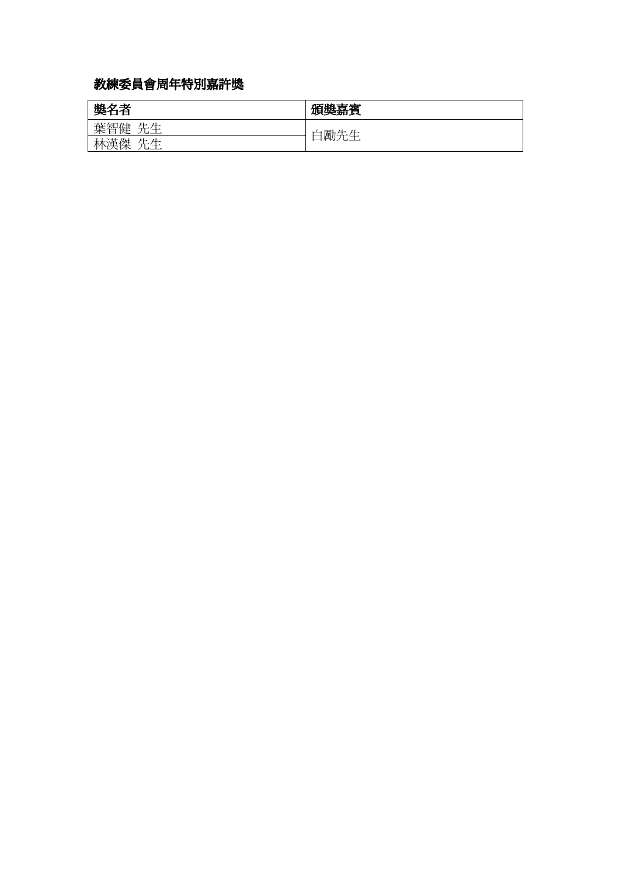# 教練委員會周年特別嘉許獎

| 獎名者       | 頒獎嘉賓    |
|-----------|---------|
| 葉智健<br>生生 | 勵先<br>土 |
| 林漢傑<br>生生 | ——      |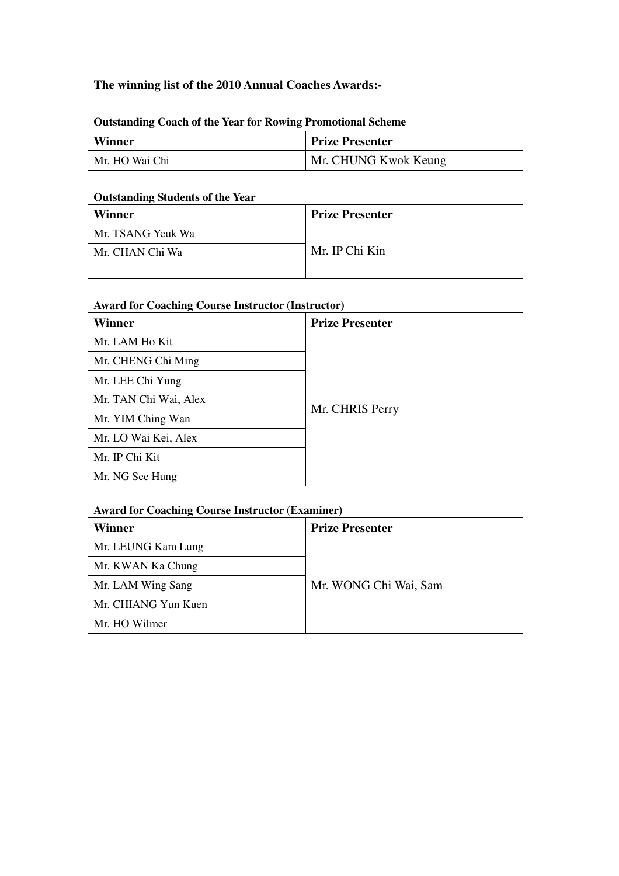#### **The winning list of the 2010 Annual Coaches Awards:-**

#### **Outstanding Coach of the Year for Rowing Promotional Scheme**

| <b>Winner</b>  | <b>Prize Presenter</b> |
|----------------|------------------------|
| Mr. HO Wai Chi | Mr. CHUNG Kwok Keung   |

#### **Outstanding Students of the Year**

| Winner            | <b>Prize Presenter</b> |
|-------------------|------------------------|
| Mr. TSANG Yeuk Wa |                        |
| Mr. CHAN Chi Wa   | Mr. IP Chi Kin         |
|                   |                        |

#### **Award for Coaching Course Instructor (Instructor)**

| Winner                | <b>Prize Presenter</b> |
|-----------------------|------------------------|
| Mr. LAM Ho Kit        |                        |
| Mr. CHENG Chi Ming    |                        |
| Mr. LEE Chi Yung      |                        |
| Mr. TAN Chi Wai, Alex |                        |
| Mr. YIM Ching Wan     | Mr. CHRIS Perry        |
| Mr. LO Wai Kei, Alex  |                        |
| Mr. IP Chi Kit        |                        |
| Mr. NG See Hung       |                        |

#### **Award for Coaching Course Instructor (Examiner)**

| Winner              | <b>Prize Presenter</b> |
|---------------------|------------------------|
| Mr. LEUNG Kam Lung  |                        |
| Mr. KWAN Ka Chung   |                        |
| Mr. LAM Wing Sang   | Mr. WONG Chi Wai, Sam  |
| Mr. CHIANG Yun Kuen |                        |
| Mr. HO Wilmer       |                        |